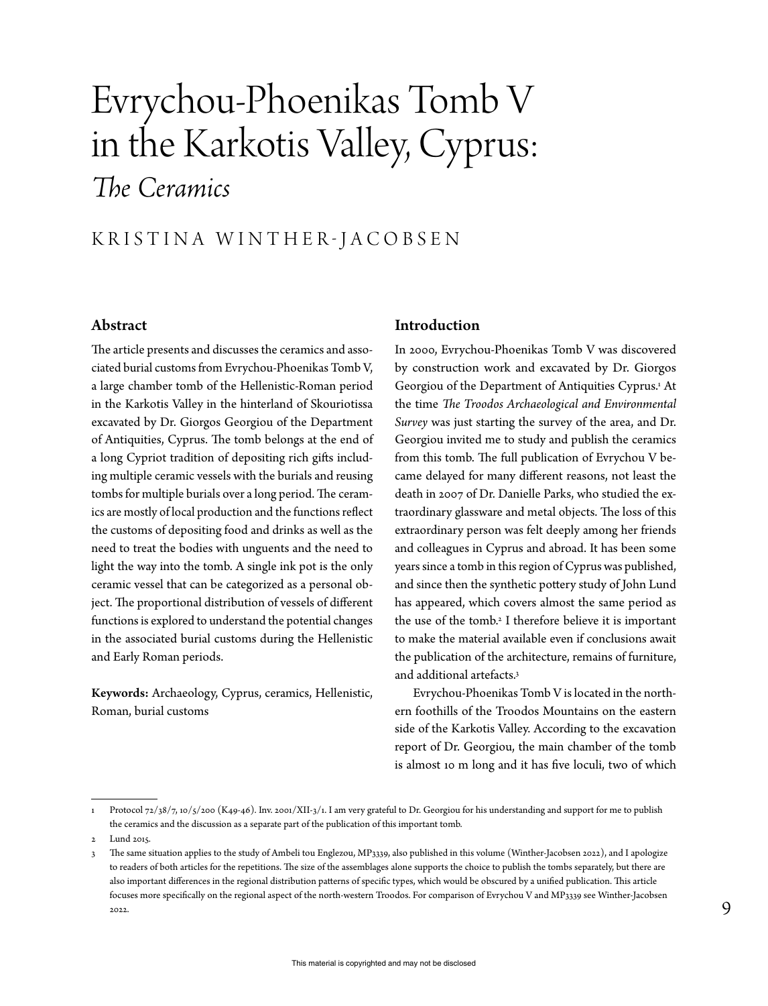# Evrychou-Phoenikas Tomb V in the Karkotis Valley, Cyprus: *The Ceramics*

### KRISTINA WINTHER-JACOBSEN

#### Abstract

The article presents and discusses the ceramics and associated burial customs from Evrychou-Phoenikas Tomb V, a large chamber tomb of the Hellenistic-Roman period in the Karkotis Valley in the hinterland of Skouriotissa excavated by Dr. Giorgos Georgiou of the Department of Antiquities, Cyprus. The tomb belongs at the end of a long Cypriot tradition of depositing rich gifts including multiple ceramic vessels with the burials and reusing tombs for multiple burials over a long period. The ceramics are mostly of local production and the functions reflect the customs of depositing food and drinks as well as the need to treat the bodies with unguents and the need to light the way into the tomb. A single ink pot is the only ceramic vessel that can be categorized as a personal object. The proportional distribution of vessels of different functions is explored to understand the potential changes in the associated burial customs during the Hellenistic and Early Roman periods.

Keywords: Archaeology, Cyprus, ceramics, Hellenistic, Roman, burial customs

#### Introduction

In 2000, Evrychou-Phoenikas Tomb V was discovered by construction work and excavated by Dr. Giorgos Georgiou of the Department of Antiquities Cyprus.1 At the time *The Troodos Archaeological and Environmental Survey* was just starting the survey of the area, and Dr. Georgiou invited me to study and publish the ceramics from this tomb. The full publication of Evrychou V became delayed for many different reasons, not least the death in 2007 of Dr. Danielle Parks, who studied the extraordinary glassware and metal objects. The loss of this extraordinary person was felt deeply among her friends and colleagues in Cyprus and abroad. It has been some years since a tomb in this region of Cyprus was published, and since then the synthetic pottery study of John Lund has appeared, which covers almost the same period as the use of the tomb.2 I therefore believe it is important to make the material available even if conclusions await the publication of the architecture, remains of furniture, and additional artefacts.3

Evrychou-Phoenikas Tomb V is located in the northern foothills of the Troodos Mountains on the eastern side of the Karkotis Valley. According to the excavation report of Dr. Georgiou, the main chamber of the tomb is almost 10 m long and it has five loculi, two of which

Protocol 72/38/7, 10/5/200 (K49-46). Inv. 2001/XII-3/1. I am very grateful to Dr. Georgiou for his understanding and support for me to publish the ceramics and the discussion as a separate part of the publication of this important tomb.

<sup>2</sup> Lund 2015.

<sup>3</sup> The same situation applies to the study of Ambeli tou Englezou, MP3339, also published in this volume (Winther-Jacobsen 2022), and I apologize to readers of both articles for the repetitions. The size of the assemblages alone supports the choice to publish the tombs separately, but there are also important differences in the regional distribution patterns of specific types, which would be obscured by a unified publication. This article focuses more specifically on the regional aspect of the north-western Troodos. For comparison of Evrychou V and MP3339 see Winther-Jacobsen 2022.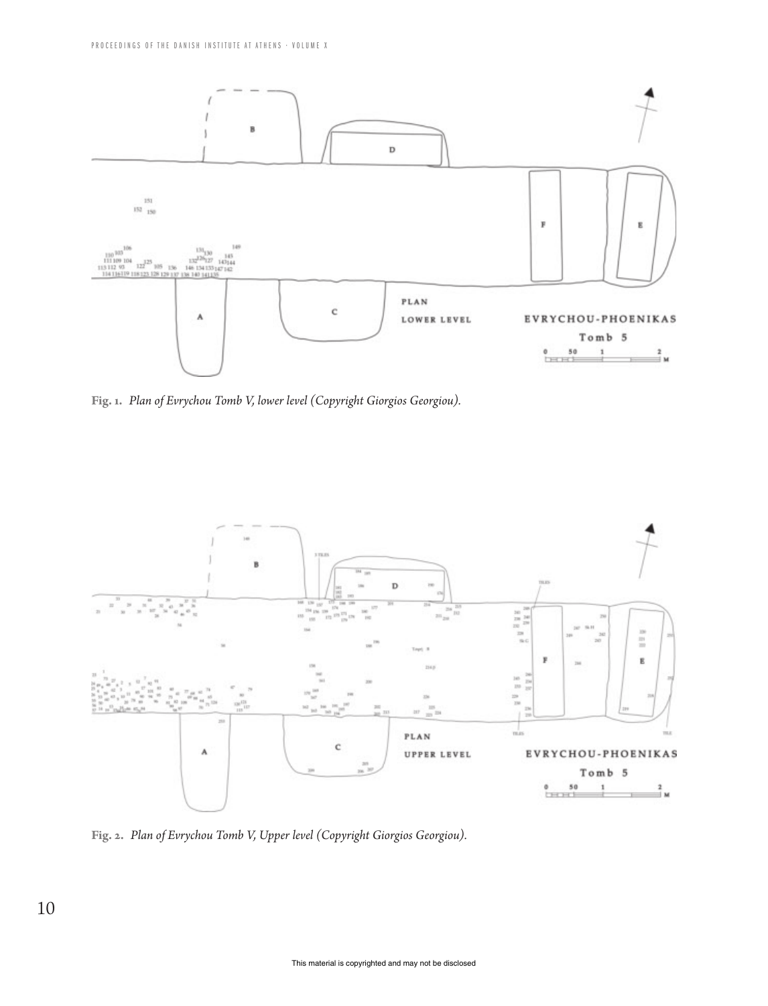

**Fig. 1.** *Plan of Evrychou Tomb V, lower level (Copyright Giorgios Georgiou).*



**Fig. 2.** *Plan of Evrychou Tomb V, Upper level (Copyright Giorgios Georgiou).*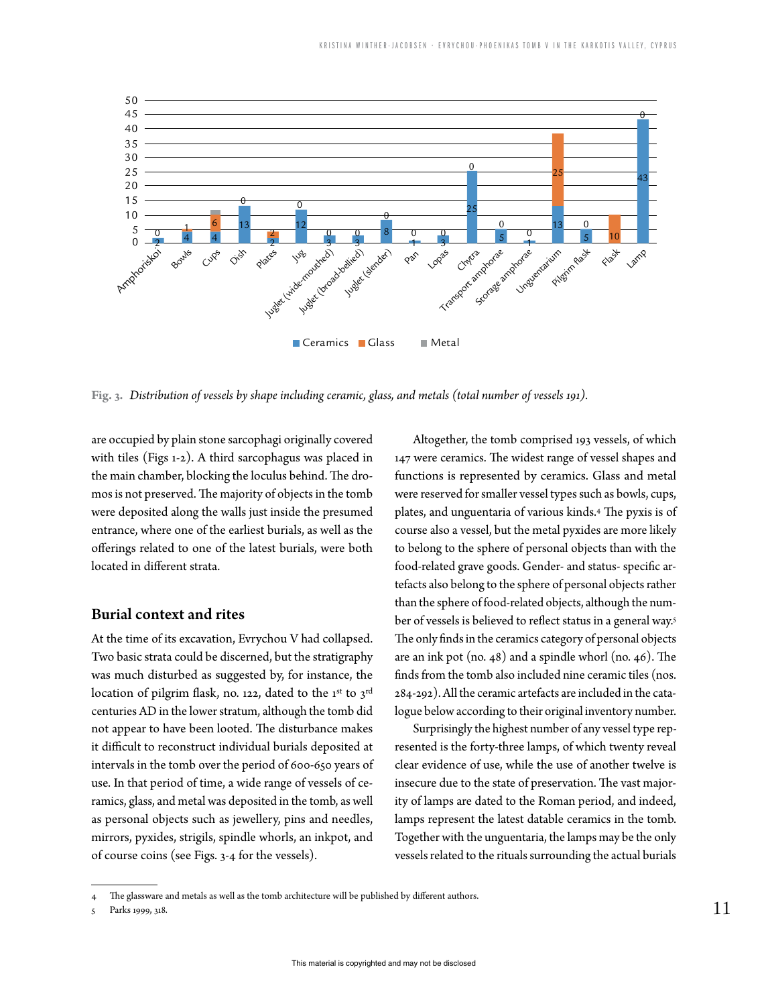

**Fig. 3.** *Distribution of vessels by shape including ceramic, glass, and metals (total number of vessels 191).*

are occupied by plain stone sarcophagi originally covered with tiles (Figs 1‑2). A third sarcophagus was placed in the main chamber, blocking the loculus behind. The dromos is not preserved. The majority of objects in the tomb were deposited along the walls just inside the presumed entrance, where one of the earliest burials, as well as the offerings related to one of the latest burials, were both located in different strata.

#### Burial context and rites

At the time of its excavation, Evrychou V had collapsed. Two basic strata could be discerned, but the stratigraphy was much disturbed as suggested by, for instance, the location of pilgrim flask, no. 122, dated to the 1<sup>st</sup> to 3<sup>rd</sup> centuries AD in the lower stratum, although the tomb did not appear to have been looted. The disturbance makes it difficult to reconstruct individual burials deposited at intervals in the tomb over the period of 600‑650 years of use. In that period of time, a wide range of vessels of ceramics, glass, and metal was deposited in the tomb, as well as personal objects such as jewellery, pins and needles, mirrors, pyxides, strigils, spindle whorls, an inkpot, and of course coins (see Figs. 3‑4 for the vessels).

Altogether, the tomb comprised 193 vessels, of which 147 were ceramics. The widest range of vessel shapes and functions is represented by ceramics. Glass and metal were reserved for smaller vessel types such as bowls, cups, plates, and unguentaria of various kinds.4 The pyxis is of course also a vessel, but the metal pyxides are more likely to belong to the sphere of personal objects than with the food-related grave goods. Gender- and status- specific artefacts also belong to the sphere of personal objects rather than the sphere of food-related objects, although the number of vessels is believed to reflect status in a general way.5 The only finds in the ceramics category of personal objects are an ink pot (no. 48) and a spindle whorl (no. 46). The finds from the tomb also included nine ceramic tiles (nos. 284-292). All the ceramic artefacts are included in the catalogue below according to their original inventory number.

Surprisingly the highest number of any vessel type represented is the forty-three lamps, of which twenty reveal clear evidence of use, while the use of another twelve is insecure due to the state of preservation. The vast majority of lamps are dated to the Roman period, and indeed, lamps represent the latest datable ceramics in the tomb. Together with the unguentaria, the lamps may be the only vessels related to the rituals surrounding the actual burials

The glassware and metals as well as the tomb architecture will be published by different authors.

<sup>5</sup> Parks 1999, 318.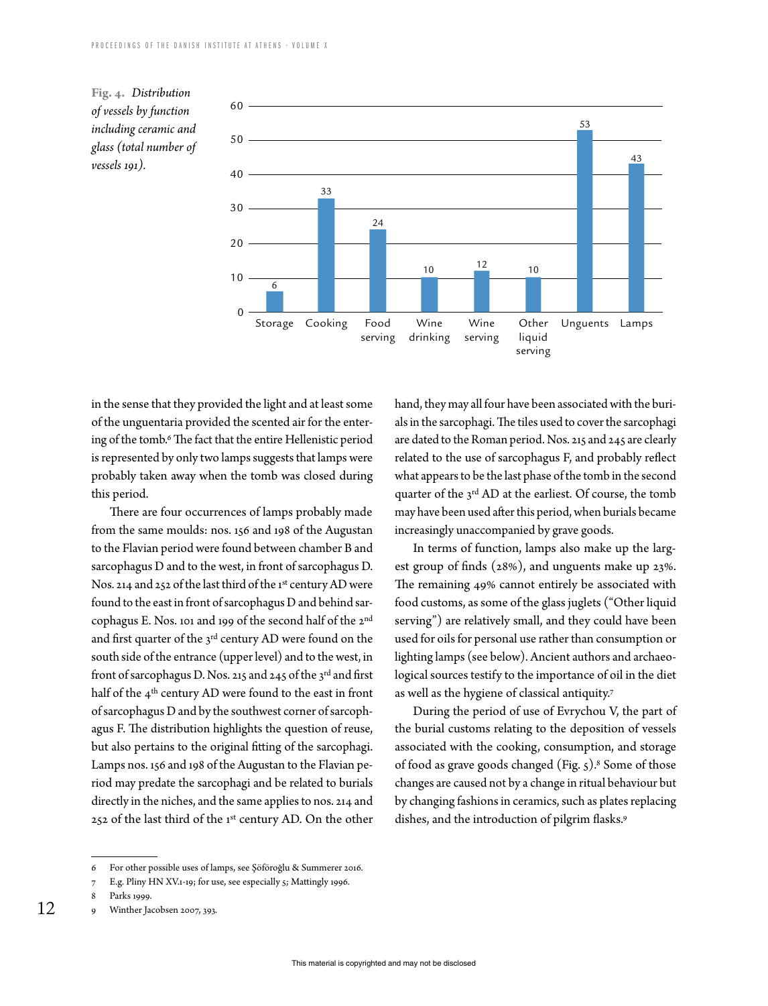



in the sense that they provided the light and at least some of the unguentaria provided the scented air for the entering of the tomb.6 The fact that the entire Hellenistic period is represented by only two lamps suggests that lamps were probably taken away when the tomb was closed during this period.

There are four occurrences of lamps probably made from the same moulds: nos. 156 and 198 of the Augustan to the Flavian period were found between chamber B and sarcophagus D and to the west, in front of sarcophagus D. Nos. 214 and 252 of the last third of the 1st century AD were found to the east in front of sarcophagus D and behind sarcophagus E. Nos. 101 and 199 of the second half of the 2nd and first quarter of the 3rd century AD were found on the south side of the entrance (upper level) and to the west, in front of sarcophagus D. Nos. 215 and 245 of the 3rd and first half of the 4<sup>th</sup> century AD were found to the east in front of sarcophagus D and by the southwest corner of sarcophagus F. The distribution highlights the question of reuse, but also pertains to the original fitting of the sarcophagi. Lamps nos. 156 and 198 of the Augustan to the Flavian period may predate the sarcophagi and be related to burials directly in the niches, and the same applies to nos. 214 and 252 of the last third of the 1st century AD. On the other

hand, they may all four have been associated with the burials in the sarcophagi. The tiles used to cover the sarcophagi are dated to the Roman period. Nos. 215 and 245 are clearly related to the use of sarcophagus F, and probably reflect what appears to be the last phase of the tomb in the second quarter of the 3<sup>rd</sup> AD at the earliest. Of course, the tomb may have been used after this period, when burials became increasingly unaccompanied by grave goods.

In terms of function, lamps also make up the largest group of finds (28%), and unguents make up 23%. The remaining 49% cannot entirely be associated with food customs, as some of the glass juglets ("Other liquid serving") are relatively small, and they could have been used for oils for personal use rather than consumption or lighting lamps (see below). Ancient authors and archaeological sources testify to the importance of oil in the diet as well as the hygiene of classical antiquity.7

During the period of use of Evrychou V, the part of the burial customs relating to the deposition of vessels associated with the cooking, consumption, and storage of food as grave goods changed (Fig. 5).8 Some of those changes are caused not by a change in ritual behaviour but by changing fashions in ceramics, such as plates replacing dishes, and the introduction of pilgrim flasks.9

<sup>6</sup> For other possible uses of lamps, see Şöföroğlu & Summerer 2016.

<sup>7</sup> E.g. Pliny HN XV.1‑19; for use, see especially 5; Mattingly 1996.

<sup>8</sup> Parks 1999.

<sup>12</sup> Winther Jacobsen 2007, 393.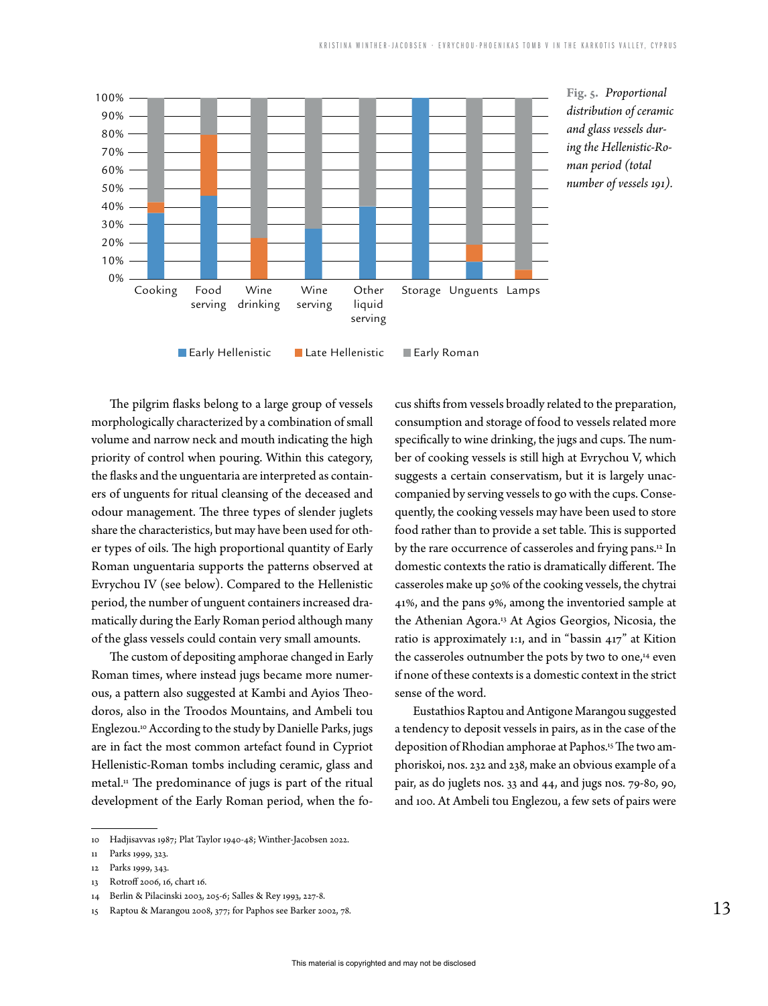

The pilgrim flasks belong to a large group of vessels morphologically characterized by a combination of small volume and narrow neck and mouth indicating the high priority of control when pouring. Within this category, the flasks and the unguentaria are interpreted as containers of unguents for ritual cleansing of the deceased and odour management. The three types of slender juglets share the characteristics, but may have been used for other types of oils. The high proportional quantity of Early Roman unguentaria supports the patterns observed at Evrychou IV (see below). Compared to the Hellenistic period, the number of unguent containers increased dramatically during the Early Roman period although many of the glass vessels could contain very small amounts.

The custom of depositing amphorae changed in Early Roman times, where instead jugs became more numerous, a pattern also suggested at Kambi and Ayios Theodoros, also in the Troodos Mountains, and Ambeli tou Englezou.10 According to the study by Danielle Parks, jugs are in fact the most common artefact found in Cypriot Hellenistic-Roman tombs including ceramic, glass and metal.<sup>11</sup> The predominance of jugs is part of the ritual development of the Early Roman period, when the fo-

cus shifts from vessels broadly related to the preparation, consumption and storage of food to vessels related more specifically to wine drinking, the jugs and cups. The number of cooking vessels is still high at Evrychou V, which suggests a certain conservatism, but it is largely unaccompanied by serving vessels to go with the cups. Consequently, the cooking vessels may have been used to store food rather than to provide a set table. This is supported by the rare occurrence of casseroles and frying pans.12 In domestic contexts the ratio is dramatically different. The casseroles make up 50% of the cooking vessels, the chytrai 41%, and the pans 9%, among the inventoried sample at the Athenian Agora.13 At Agios Georgios, Nicosia, the ratio is approximately 1:1, and in "bassin 417" at Kition the casseroles outnumber the pots by two to one,<sup>14</sup> even if none of these contexts is a domestic context in the strict sense of the word.

Eustathios Raptou and Antigone Marangou suggested a tendency to deposit vessels in pairs, as in the case of the deposition of Rhodian amphorae at Paphos.15 The two amphoriskoi, nos. 232 and 238, make an obvious example of a pair, as do juglets nos. 33 and 44, and jugs nos. 79-80, 90, and 100. At Ambeli tou Englezou, a few sets of pairs were

<sup>10</sup> Hadjisavvas 1987; Plat Taylor 1940-48; Winther-Jacobsen 2022.

<sup>11</sup> Parks 1999, 323.

<sup>12</sup> Parks 1999, 343.

<sup>13</sup> Rotroff 2006, 16, chart 16.

<sup>14</sup> Berlin & Pilacinski 2003, 205-6; Salles & Rey 1993, 227-8.

<sup>15</sup> Raptou & Marangou 2008, 377; for Paphos see Barker 2002, 78.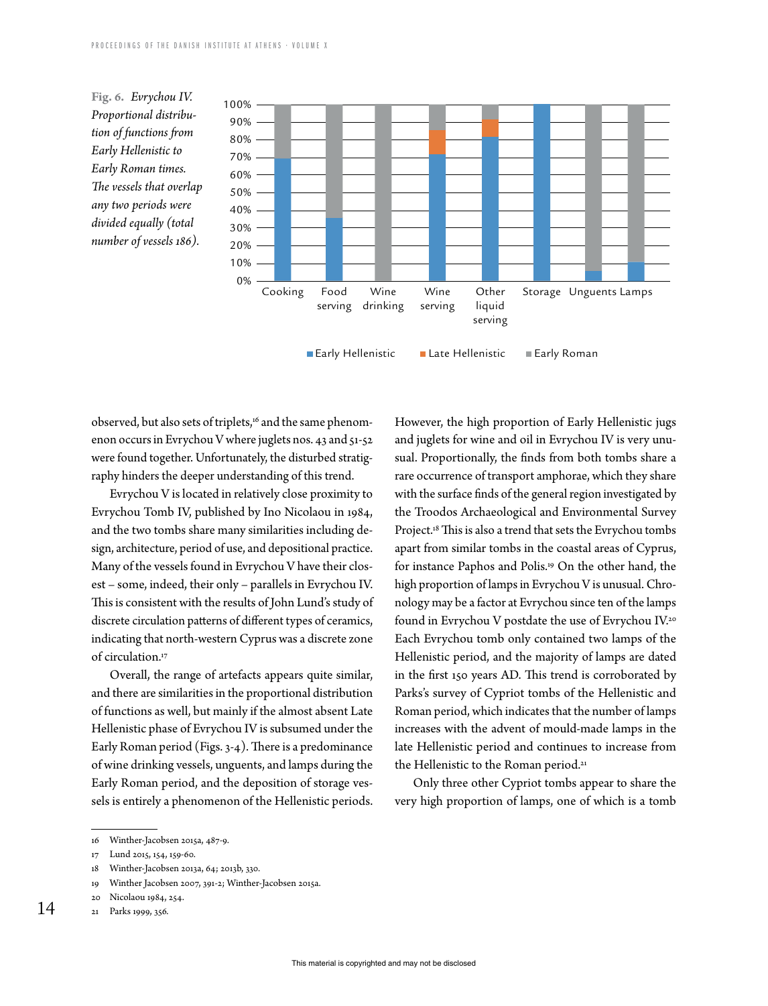



Early Hellenistic Elate Hellenistic Early Roman

observed, but also sets of triplets,<sup>16</sup> and the same phenomenon occurs in Evrychou V where juglets nos. 43 and 51-52 were found together. Unfortunately, the disturbed stratigraphy hinders the deeper understanding of this trend.

Evrychou V is located in relatively close proximity to Evrychou Tomb IV, published by Ino Nicolaou in 1984, and the two tombs share many similarities including design, architecture, period of use, and depositional practice. Many of the vessels found in Evrychou V have their closest – some, indeed, their only – parallels in Evrychou IV. This is consistent with the results of John Lund's study of discrete circulation patterns of different types of ceramics, indicating that north-western Cyprus was a discrete zone of circulation.17

Overall, the range of artefacts appears quite similar, and there are similarities in the proportional distribution of functions as well, but mainly if the almost absent Late Hellenistic phase of Evrychou IV is subsumed under the Early Roman period (Figs. 3-4). There is a predominance of wine drinking vessels, unguents, and lamps during the Early Roman period, and the deposition of storage vessels is entirely a phenomenon of the Hellenistic periods.

- 18 Winther-Jacobsen 2013a, 64; 2013b, 330.
- 19 Winther Jacobsen 2007, 391-2; Winther-Jacobsen 2015a.

14

However, the high proportion of Early Hellenistic jugs and juglets for wine and oil in Evrychou IV is very unusual. Proportionally, the finds from both tombs share a rare occurrence of transport amphorae, which they share with the surface finds of the general region investigated by the Troodos Archaeological and Environmental Survey Project.18 This is also a trend that sets the Evrychou tombs apart from similar tombs in the coastal areas of Cyprus, for instance Paphos and Polis.19 On the other hand, the high proportion of lamps in Evrychou V is unusual. Chronology may be a factor at Evrychou since ten of the lamps found in Evrychou V postdate the use of Evrychou IV.20 Each Evrychou tomb only contained two lamps of the Hellenistic period, and the majority of lamps are dated in the first 150 years AD. This trend is corroborated by Parks's survey of Cypriot tombs of the Hellenistic and Roman period, which indicates that the number of lamps increases with the advent of mould-made lamps in the late Hellenistic period and continues to increase from the Hellenistic to the Roman period.<sup>21</sup>

Only three other Cypriot tombs appear to share the very high proportion of lamps, one of which is a tomb

<sup>16</sup> Winther-Jacobsen 2015a, 487-9.

<sup>17</sup> Lund 2015, 154, 159-60.

<sup>20</sup> Nicolaou 1984, 254.

<sup>21</sup> Parks 1999, 356.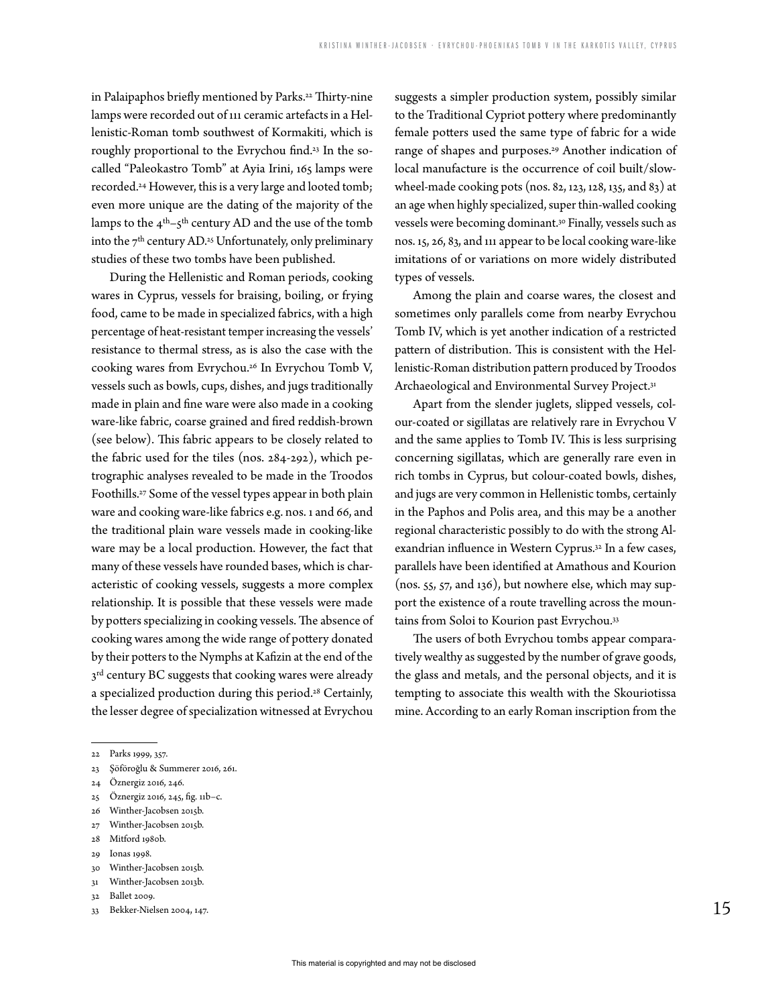in Palaipaphos briefly mentioned by Parks.<sup>22</sup> Thirty-nine lamps were recorded out of 111 ceramic artefacts in a Hellenistic-Roman tomb southwest of Kormakiti, which is roughly proportional to the Evrychou find.23 In the socalled "Paleokastro Tomb" at Ayia Irini, 165 lamps were recorded.24 However, this is a very large and looted tomb; even more unique are the dating of the majority of the lamps to the  $4<sup>th</sup>-5<sup>th</sup>$  century AD and the use of the tomb into the  $7<sup>th</sup>$  century AD.<sup>25</sup> Unfortunately, only preliminary studies of these two tombs have been published.

During the Hellenistic and Roman periods, cooking wares in Cyprus, vessels for braising, boiling, or frying food, came to be made in specialized fabrics, with a high percentage of heat-resistant temper increasing the vessels' resistance to thermal stress, as is also the case with the cooking wares from Evrychou.<sup>26</sup> In Evrychou Tomb V, vessels such as bowls, cups, dishes, and jugs traditionally made in plain and fine ware were also made in a cooking ware-like fabric, coarse grained and fired reddish-brown (see below). This fabric appears to be closely related to the fabric used for the tiles (nos. 284-292), which petrographic analyses revealed to be made in the Troodos Foothills.27 Some of the vessel types appear in both plain ware and cooking ware-like fabrics e.g. nos. 1 and 66, and the traditional plain ware vessels made in cooking-like ware may be a local production. However, the fact that many of these vessels have rounded bases, which is characteristic of cooking vessels, suggests a more complex relationship. It is possible that these vessels were made by potters specializing in cooking vessels. The absence of cooking wares among the wide range of pottery donated by their potters to the Nymphs at Kafizin at the end of the  $3<sup>rd</sup>$  century BC suggests that cooking wares were already a specialized production during this period.28 Certainly, the lesser degree of specialization witnessed at Evrychou

Among the plain and coarse wares, the closest and sometimes only parallels come from nearby Evrychou Tomb IV, which is yet another indication of a restricted pattern of distribution. This is consistent with the Hellenistic-Roman distribution pattern produced by Troodos Archaeological and Environmental Survey Project.31

Apart from the slender juglets, slipped vessels, colour-coated or sigillatas are relatively rare in Evrychou V and the same applies to Tomb IV. This is less surprising concerning sigillatas, which are generally rare even in rich tombs in Cyprus, but colour-coated bowls, dishes, and jugs are very common in Hellenistic tombs, certainly in the Paphos and Polis area, and this may be a another regional characteristic possibly to do with the strong Alexandrian influence in Western Cyprus.32 In a few cases, parallels have been identified at Amathous and Kourion (nos. 55, 57, and 136), but nowhere else, which may support the existence of a route travelling across the mountains from Soloi to Kourion past Evrychou.33

The users of both Evrychou tombs appear comparatively wealthy as suggested by the number of grave goods, the glass and metals, and the personal objects, and it is tempting to associate this wealth with the Skouriotissa mine. According to an early Roman inscription from the

- 25 Öznergiz 2016, 245, fig. 11b–c.
- 26 Winther-Jacobsen 2015b.
- 27 Winther-Jacobsen 2015b.
- 28 Mitford 1980b.
- 29 Ionas 1998.
- 30 Winther-Jacobsen 2015b.

- 32 Ballet 2009.
- 33 Bekker-Nielsen 2004, 147.

suggests a simpler production system, possibly similar to the Traditional Cypriot pottery where predominantly female potters used the same type of fabric for a wide range of shapes and purposes.29 Another indication of local manufacture is the occurrence of coil built/slowwheel-made cooking pots (nos. 82, 123, 128, 135, and 83) at an age when highly specialized, super thin-walled cooking vessels were becoming dominant.30 Finally, vessels such as nos. 15, 26, 83, and 111 appear to be local cooking ware-like imitations of or variations on more widely distributed types of vessels.

<sup>22</sup> Parks 1999, 357.

<sup>23</sup> Şöföroğlu & Summerer 2016, 261.

<sup>24</sup> Öznergiz 2016, 246.

<sup>31</sup> Winther-Jacobsen 2013b.